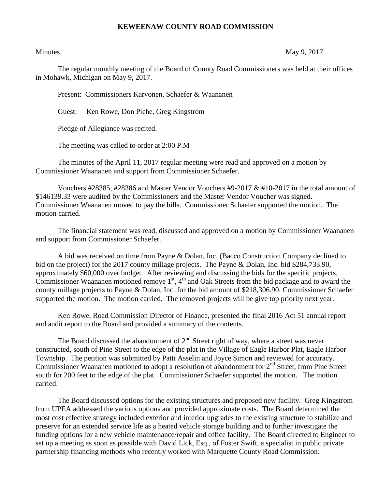## **KEWEENAW COUNTY ROAD COMMISSION**

Minutes May 9, 2017

The regular monthly meeting of the Board of County Road Commissioners was held at their offices in Mohawk, Michigan on May 9, 2017.

Present: Commissioners Karvonen, Schaefer & Waananen

Guest: Ken Rowe, Don Piche, Greg Kingstrom

Pledge of Allegiance was recited.

The meeting was called to order at 2:00 P.M

The minutes of the April 11, 2017 regular meeting were read and approved on a motion by Commissioner Waananen and support from Commissioner Schaefer.

Vouchers #28385, #28386 and Master Vendor Vouchers #9-2017 & #10-2017 in the total amount of \$146139.33 were audited by the Commissioners and the Master Vendor Voucher was signed. Commissioner Waananen moved to pay the bills. Commissioner Schaefer supported the motion. The motion carried.

The financial statement was read, discussed and approved on a motion by Commissioner Waananen and support from Commissioner Schaefer.

A bid was received on time from Payne & Dolan, Inc. (Bacco Construction Company declined to bid on the project) for the 2017 county millage projects. The Payne & Dolan, Inc. bid \$284,733.90, approximately \$60,000 over budget. After reviewing and discussing the bids for the specific projects, Commissioner Waananen motioned remove  $1<sup>st</sup>$ ,  $4<sup>th</sup>$  and Oak Streets from the bid package and to award the county millage projects to Payne & Dolan, Inc. for the bid amount of \$218,306.90. Commissioner Schaefer supported the motion. The motion carried. The removed projects will be give top priority next year.

Ken Rowe, Road Commission Director of Finance, presented the final 2016 Act 51 annual report and audit report to the Board and provided a summary of the contents.

The Board discussed the abandonment of  $2<sup>nd</sup>$  Street right of way, where a street was never constructed, south of Pine Street to the edge of the plat in the Village of Eagle Harbor Plat, Eagle Harbor Township. The petition was submitted by Patti Asselin and Joyce Simon and reviewed for accuracy. Commissioner Waananen motioned to adopt a resolution of abandonment for  $2<sup>nd</sup>$  Street, from Pine Street south for 200 feet to the edge of the plat. Commissioner Schaefer supported the motion. The motion carried.

The Board discussed options for the existing structures and proposed new facility. Greg Kingstrom from UPEA addressed the various options and provided approximate costs. The Board determined the most cost effective strategy included exterior and interior upgrades to the existing structure to stabilize and preserve for an extended service life as a heated vehicle storage building and to further investigate the funding options for a new vehicle maintenance/repair and office facility. The Board directed to Engineer to set up a meeting as soon as possible with David Lick, Esq., of Foster Swift, a specialist in public private partnership financing methods who recently worked with Marquette County Road Commission.